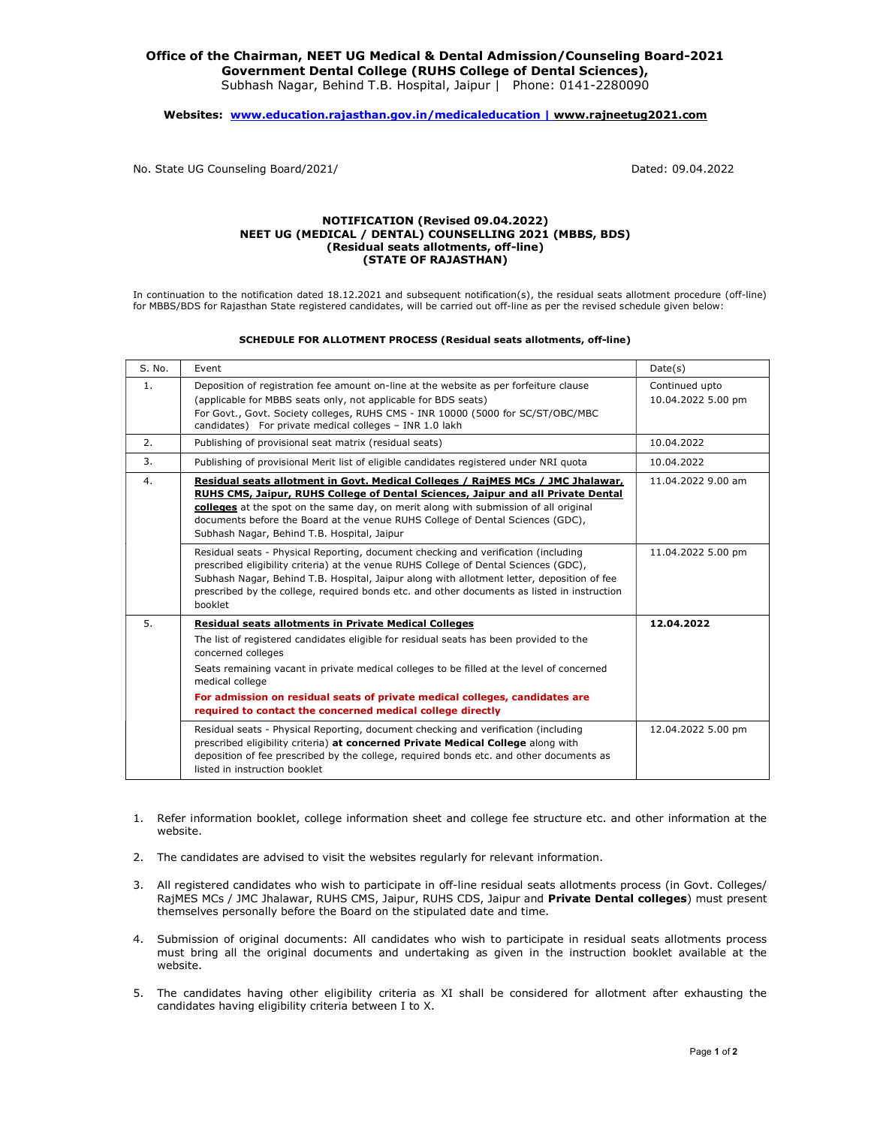## Office of the Chairman, NEET UG Medical & Dental Admission/Counseling Board-2021 Government Dental College (RUHS College of Dental Sciences), Subhash Nagar, Behind T.B. Hospital, Jaipur | Phone: 0141-2280090

Websites: www.education.rajasthan.gov.in/medicaleducation | www.rajneetug2021.com

No. State UG Counseling Board/2021/ Dated: 09.04.2022

## NOTIFICATION (Revised 09.04.2022) NEET UG (MEDICAL / DENTAL) COUNSELLING 2021 (MBBS, BDS) (Residual seats allotments, off-line) (STATE OF RAJASTHAN)

In continuation to the notification dated 18.12.2021 and subsequent notification(s), the residual seats allotment procedure (off-line) for MBBS/BDS for Rajasthan State registered candidates, will be carried out off-line as per the revised schedule given below:

## SCHEDULE FOR ALLOTMENT PROCESS (Residual seats allotments, off-line)

| S. No. | Event                                                                                                                                                                                                                                                                                                                                                                                                                                     | Date(s)                              |
|--------|-------------------------------------------------------------------------------------------------------------------------------------------------------------------------------------------------------------------------------------------------------------------------------------------------------------------------------------------------------------------------------------------------------------------------------------------|--------------------------------------|
| 1.     | Deposition of registration fee amount on-line at the website as per forfeiture clause<br>(applicable for MBBS seats only, not applicable for BDS seats)<br>For Govt., Govt. Society colleges, RUHS CMS - INR 10000 (5000 for SC/ST/OBC/MBC<br>candidates) For private medical colleges - INR 1.0 lakh                                                                                                                                     | Continued upto<br>10.04.2022 5.00 pm |
| 2.     | Publishing of provisional seat matrix (residual seats)                                                                                                                                                                                                                                                                                                                                                                                    | 10.04.2022                           |
| 3.     | Publishing of provisional Merit list of eligible candidates registered under NRI quota                                                                                                                                                                                                                                                                                                                                                    | 10.04.2022                           |
| 4.     | Residual seats allotment in Govt. Medical Colleges / RajMES MCs / JMC Jhalawar,<br>RUHS CMS, Jaipur, RUHS College of Dental Sciences, Jaipur and all Private Dental<br>colleges at the spot on the same day, on merit along with submission of all original<br>documents before the Board at the venue RUHS College of Dental Sciences (GDC),<br>Subhash Nagar, Behind T.B. Hospital, Jaipur                                              | 11.04.2022 9.00 am                   |
|        | Residual seats - Physical Reporting, document checking and verification (including<br>prescribed eligibility criteria) at the venue RUHS College of Dental Sciences (GDC),<br>Subhash Nagar, Behind T.B. Hospital, Jaipur along with allotment letter, deposition of fee<br>prescribed by the college, required bonds etc. and other documents as listed in instruction<br>booklet                                                        | 11.04.2022 5.00 pm                   |
| 5.     | <b>Residual seats allotments in Private Medical Colleges</b><br>The list of registered candidates eligible for residual seats has been provided to the<br>concerned colleges<br>Seats remaining vacant in private medical colleges to be filled at the level of concerned<br>medical college<br>For admission on residual seats of private medical colleges, candidates are<br>required to contact the concerned medical college directly | 12.04.2022                           |
|        | Residual seats - Physical Reporting, document checking and verification (including<br>prescribed eligibility criteria) at concerned Private Medical College along with<br>deposition of fee prescribed by the college, required bonds etc. and other documents as<br>listed in instruction booklet                                                                                                                                        | 12.04.2022 5.00 pm                   |

- 1. Refer information booklet, college information sheet and college fee structure etc. and other information at the website.
- 2. The candidates are advised to visit the websites regularly for relevant information.
- 3. All registered candidates who wish to participate in off-line residual seats allotments process (in Govt. Colleges/ RajMES MCs / JMC Jhalawar, RUHS CMS, Jaipur, RUHS CDS, Jaipur and Private Dental colleges) must present themselves personally before the Board on the stipulated date and time.
- 4. Submission of original documents: All candidates who wish to participate in residual seats allotments process must bring all the original documents and undertaking as given in the instruction booklet available at the website.
- 5. The candidates having other eligibility criteria as XI shall be considered for allotment after exhausting the candidates having eligibility criteria between I to X.